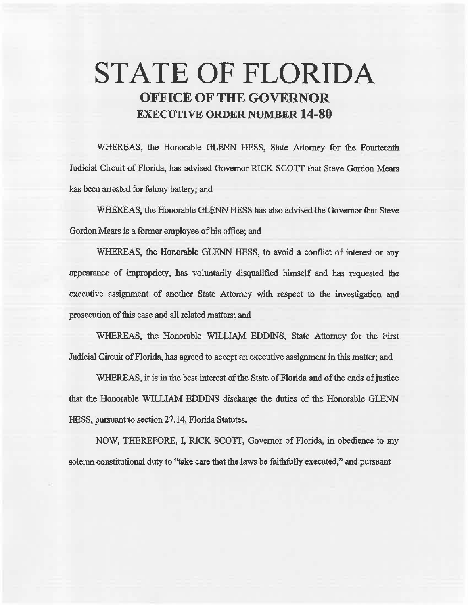# **STATE OF FLORIDA OFFICE OF THE GOVERNOR EXECUTIVE ORDER NUMBER 14-80**

WHEREAS, the Honorable GLENN HESS, State Attorney for the Fourteenth Judicial Circuit of Florida, has advised Governor RICK SCOTI that Steve Gordon Mears has been arrested for felony battery; and

WHEREAS, the Honorable GLENN HESS has also advised the Governor that Steve Gordon Mears is a former employee of his office; and

WHEREAS, the Honorable GLENN HESS, to avoid a conflict of interest or any appearance of impropriety, has voluntarily disqualified himself and has requested the executive assignment of another State Attorney with respect to the investigation and prosecution of this case and all related matters; and

WHEREAS, the Honorable WILLIAM EDDINS, State Attorney for the First Judicial Circuit of Florida, has agreed to accept an executive assignment in this matter; and

WHEREAS, it is in the best interest of the State of Florida and of the ends of justice that the Honorable WILLIAM EDDINS discharge the duties of the Honorable GLENN HESS, pursuant to section 27 .14, Florida Statutes.

NOW, THEREFORE, I, RICK SCOTI, Governor of Florida, in obedience to my solemn constitutional duty to ''take care that the laws be faithfully executed," and pursuant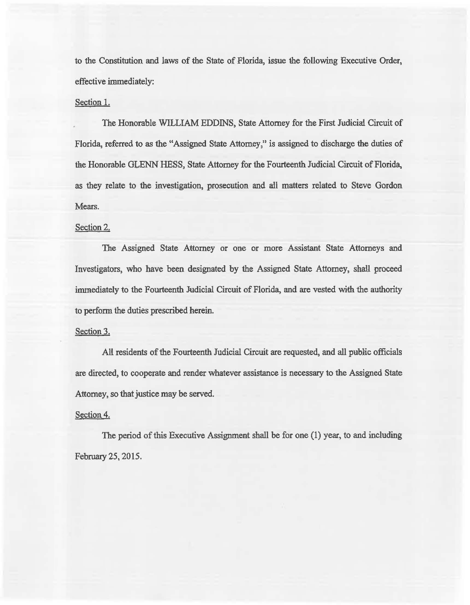to the Constitution and laws of the State of Florida, issue the following Executive Order, effective immediately:

## Section 1.

The Honorable WILLIAM EDDINS, State Attorney for the First Judicial Circuit of Florida, referred to as the "Assigned State Attorney," is assigned to discharge the duties of the Honorable GLENN HESS, State Attorney for the Fourteenth Judicial Circuit of Florida, as they relate to the investigation, prosecution and ail matters related to Steve Gordon Mears.

# Section 2.

The Assigned State Attorney or one or more Assistant State Attorneys and Investigators, who have been designated by the Assigned State Attorney, shall proceed immediately to the Fourteenth Judicial Circuit of Florida, and are vested with the authority to perform the duties prescribed herein.

#### Section 3.

All residents of the Fourteenth Judicial Circuit are requested, and all public officials are directed, to cooperate and render whatever assistance is necessary to the Assigned State Attorney, so that justice may be served.

### Section 4.

The period of this Executive Assignment shall be for one (1) year, to and including February 25, 2015.